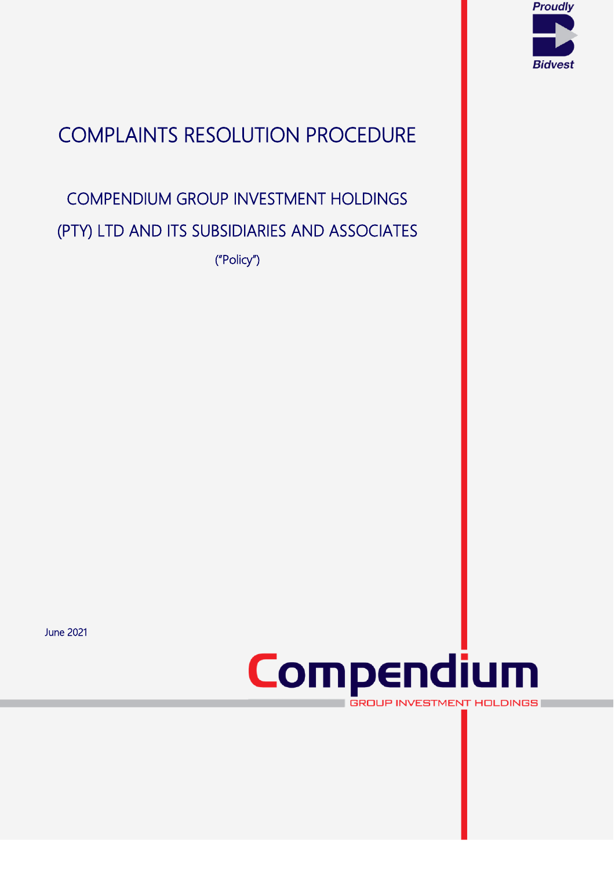

# COMPLAINTS RESOLUTION PROCEDURE

# COMPENDIUM GROUP INVESTMENT HOLDINGS (PTY) LTD AND ITS SUBSIDIARIES AND ASSOCIATES

("Policy")

June 2021



van die 19de eeu n.C. Soos ander die 19de eeu n.C. In die 19de eeu n.C. In die 19de eeu n.C. In die 19de eeu n<br>Van die 19de eeu n.C. In die 19de eeu n.C. In die 19de eeu n.C. In die 19de eeu n.C. In die 19de eeu n.C. In d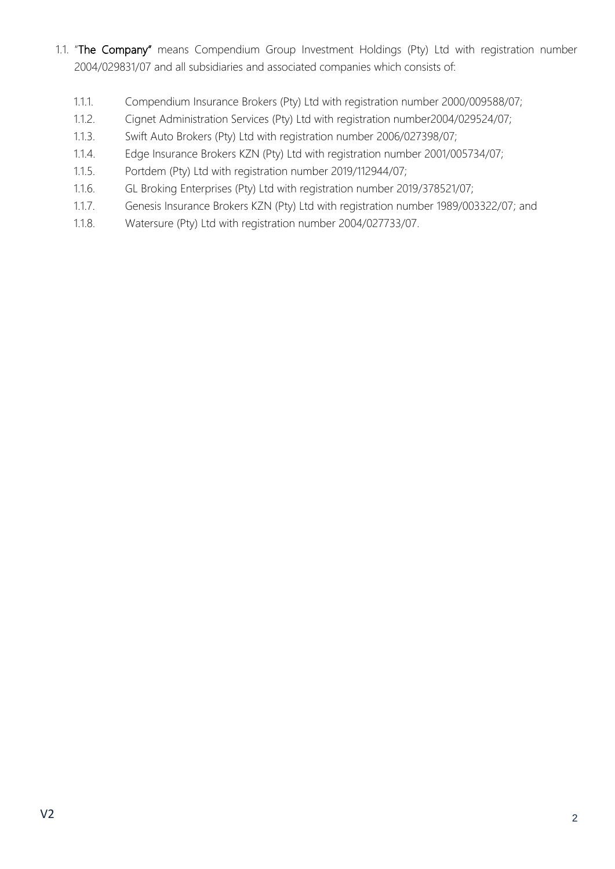- 1.1. "The Company" means Compendium Group Investment Holdings (Pty) Ltd with registration number 2004/029831/07 and all subsidiaries and associated companies which consists of:
	- 1.1.1. Compendium Insurance Brokers (Pty) Ltd with registration number 2000/009588/07;
	- 1.1.2. Cignet Administration Services (Pty) Ltd with registration number2004/029524/07;
	- 1.1.3. Swift Auto Brokers (Pty) Ltd with registration number 2006/027398/07;
	- 1.1.4. Edge Insurance Brokers KZN (Pty) Ltd with registration number 2001/005734/07;
	- 1.1.5. Portdem (Pty) Ltd with registration number 2019/112944/07;
	- 1.1.6. GL Broking Enterprises (Pty) Ltd with registration number 2019/378521/07;
	- 1.1.7. Genesis Insurance Brokers KZN (Pty) Ltd with registration number 1989/003322/07; and
	- 1.1.8. Watersure (Pty) Ltd with registration number 2004/027733/07.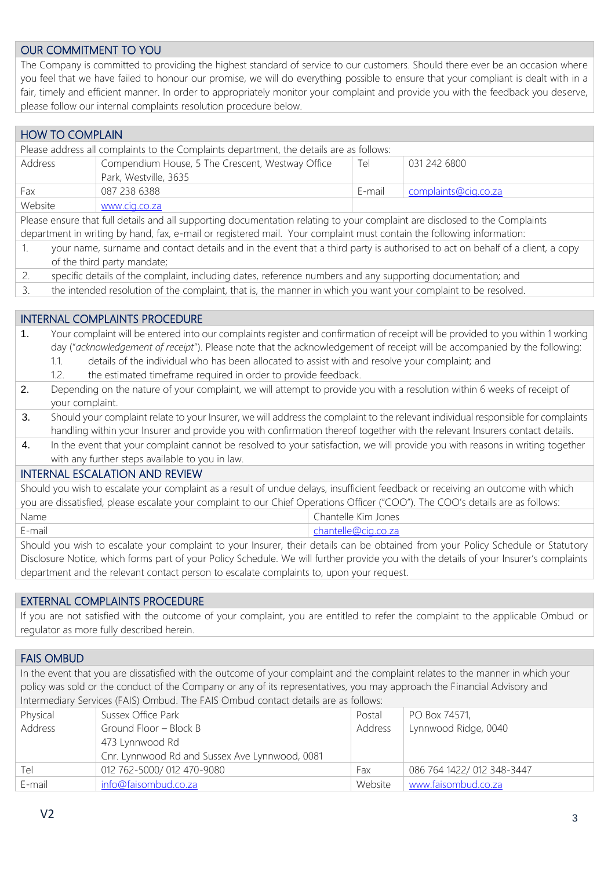## OUR COMMITMENT TO YOU

The Company is committed to providing the highest standard of service to our customers. Should there ever be an occasion where you feel that we have failed to honour our promise, we will do everything possible to ensure that your compliant is dealt with in a fair, timely and efficient manner. In order to appropriately monitor your complaint and provide you with the feedback you deserve, please follow our internal complaints resolution procedure below.

# HOW TO COMPLAIN

| Please address all complaints to the Complaints department, the details are as follows: |                                                  |        |                      |
|-----------------------------------------------------------------------------------------|--------------------------------------------------|--------|----------------------|
| Address                                                                                 | Compendium House, 5 The Crescent, Westway Office | Tel    | 031 242 6800         |
|                                                                                         | Park, Westville, 3635                            |        |                      |
| Fax                                                                                     | 087 238 6388                                     | F-mail | complaints@cig.co.za |
| Website                                                                                 | www.cig.co.za                                    |        |                      |

Please ensure that full details and all supporting documentation relating to your complaint are disclosed to the Complaints department in writing by hand, fax, e-mail or registered mail. Your complaint must contain the following information:

- 1. your name, surname and contact details and in the event that a third party is authorised to act on behalf of a client, a copy of the third party mandate;
- 2. specific details of the complaint, including dates, reference numbers and any supporting documentation; and
- 3. the intended resolution of the complaint, that is, the manner in which you want your complaint to be resolved.

## INTERNAL COMPLAINTS PROCEDURE

- 1. Your complaint will be entered into our complaints register and confirmation of receipt will be provided to you within 1 working day ("*acknowledgement of receipt*"). Please note that the acknowledgement of receipt will be accompanied by the following: 1.1. details of the individual who has been allocated to assist with and resolve your complaint; and
	-
	- 1.2. the estimated timeframe required in order to provide feedback.
- 2. Depending on the nature of your complaint, we will attempt to provide you with a resolution within 6 weeks of receipt of your complaint.
- 3. Should your complaint relate to your Insurer, we will address the complaint to the relevant individual responsible for complaints handling within your Insurer and provide you with confirmation thereof together with the relevant Insurers contact details.
- 4. In the event that your complaint cannot be resolved to your satisfaction, we will provide you with reasons in writing together with any further steps available to you in law.

# INTERNAL ESCALATION AND REVIEW

Should you wish to escalate your complaint as a result of undue delays, insufficient feedback or receiving an outcome with which you are dissatisfied, please escalate your complaint to our Chief Operations Officer ("COO"). The COO's details are as follows: Name Chantelle Kim Jones

E-mail [chantelle@cig.co.za](mailto:chantelle@cig.co.za)

Should you wish to escalate your complaint to your Insurer, their details can be obtained from your Policy Schedule or Statutory Disclosure Notice, which forms part of your Policy Schedule. We will further provide you with the details of your Insurer's complaints department and the relevant contact person to escalate complaints to, upon your request.

#### EXTERNAL COMPLAINTS PROCEDURE

If you are not satisfied with the outcome of your complaint, you are entitled to refer the complaint to the applicable Ombud or regulator as more fully described herein.

#### FAIS OMBUD

In the event that you are dissatisfied with the outcome of your complaint and the complaint relates to the manner in which your policy was sold or the conduct of the Company or any of its representatives, you may approach the Financial Advisory and Intermediary Services (FAIS) Ombud. The FAIS Ombud contact details are as follows:

| Physical | Sussex Office Park                             | Postal  | PO Box 74571,              |
|----------|------------------------------------------------|---------|----------------------------|
| Address  | Ground Floor - Block B                         | Address | Lynnwood Ridge, 0040       |
|          | 473 Lynnwood Rd                                |         |                            |
|          | Cnr. Lynnwood Rd and Sussex Ave Lynnwood, 0081 |         |                            |
| Tel      | 012 762-5000/ 012 470-9080                     | Fax     | 086 764 1422/ 012 348-3447 |
| E-mail   | info@faisombud.co.za                           | Website | www.faisombud.co.za        |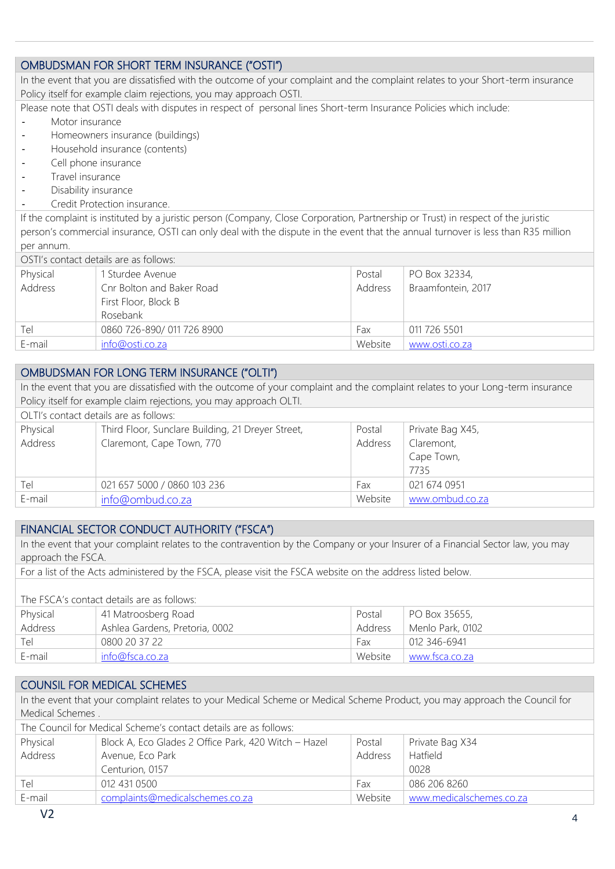# OMBUDSMAN FOR SHORT TERM INSURANCE ("OSTI")

In the event that you are dissatisfied with the outcome of your complaint and the complaint relates to your Short-term insurance Policy itself for example claim rejections, you may approach OSTI.

Please note that OSTI deals with disputes in respect of personal lines Short-term Insurance Policies which include:

- Motor insurance
- Homeowners insurance (buildings)
- Household insurance (contents)
- Cell phone insurance
- Travel insurance
- Disability insurance
- Credit Protection insurance.

If the complaint is instituted by a juristic person (Company, Close Corporation, Partnership or Trust) in respect of the juristic person's commercial insurance, OSTI can only deal with the dispute in the event that the annual turnover is less than R35 million per annum.

| OSTI's contact details are as follows: |                                                               |         |                    |
|----------------------------------------|---------------------------------------------------------------|---------|--------------------|
| Physical                               | I Sturdee Avenue                                              | Postal  | PO Box 32334,      |
| Address                                | Cnr Bolton and Baker Road<br>First Floor, Block B<br>Rosebank | Address | Braamfontein, 2017 |
| Tel                                    | 0860 726-890/ 011 726 8900                                    | Fax     | 011 726 5501       |
| E-mail                                 | info@osti.co.za                                               | Website | www.osti.co.za     |

## OMBUDSMAN FOR LONG TERM INSURANCE ("OLTI")

In the event that you are dissatisfied with the outcome of your complaint and the complaint relates to your Long-term insurance Policy itself for example claim rejections, you may approach OLTI. OLTI's contact details are as follows: Physical Address Third Floor, Sunclare Building, 21 Dreyer Street, Claremont, Cape Town, 770 Postal Address Private Bag X45, Claremont, Cape Town,

| $T_{\Theta}$ | 021 657 5000 / 0860 103 236 | Fax     | 0216740951      |
|--------------|-----------------------------|---------|-----------------|
| E-mail       | info@ombud.co.za            | Website | www.ombud.co.za |

#### FINANCIAL SECTOR CONDUCT AUTHORITY ("FSCA")

In the event that your complaint relates to the contravention by the Company or your Insurer of a Financial Sector law, you may approach the FSCA.

For a list of the Acts administered by the FSCA, please visit the FSCA website on the address listed below.

The FSCA's contact details are as follows: Physical Address 41 Matroosberg Road Ashlea Gardens, Pretoria, 0002 Postal Address PO Box 35655, Menlo Park, 0102 Tel 0800 20 37 22 Fax 012 346-6941 E-mail [info@fsca.co.za](mailto:info@fsca.co.za) Website [www.fsca.co.za](http://www.fsca.co.za/)

# COUNSIL FOR MEDICAL SCHEMES

In the event that your complaint relates to your Medical Scheme or Medical Scheme Product, you may approach the Council for Medical Schemes .

| The Council for Medical Scheme's contact details are as follows: |         |                          |  |
|------------------------------------------------------------------|---------|--------------------------|--|
| Block A, Eco Glades 2 Office Park, 420 Witch - Hazel             | Postal  | Private Bag X34          |  |
| Avenue, Eco Park                                                 | Address | Hatfield                 |  |
| Centurion, 0157                                                  |         | 0028                     |  |
| 012 431 0500                                                     | Fax     | 086 206 8260             |  |
| complaints@medicalschemes.co.za                                  | Website | www.medicalschemes.co.za |  |
|                                                                  |         |                          |  |